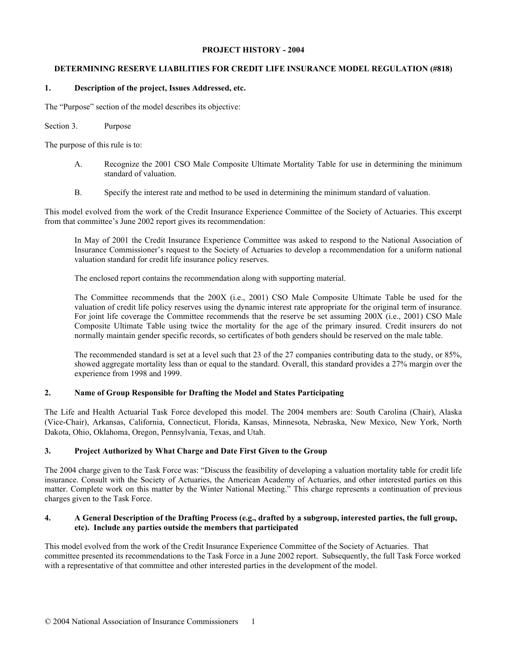## **PROJECT HISTORY - 2004**

# **DETERMINING RESERVE LIABILITIES FOR CREDIT LIFE INSURANCE MODEL REGULATION (#818)**

### **1. Description of the project, Issues Addressed, etc.**

The "Purpose" section of the model describes its objective:

#### Section 3. Purpose

The purpose of this rule is to:

- A. Recognize the 2001 CSO Male Composite Ultimate Mortality Table for use in determining the minimum standard of valuation.
- B. Specify the interest rate and method to be used in determining the minimum standard of valuation.

This model evolved from the work of the Credit Insurance Experience Committee of the Society of Actuaries. This excerpt from that committee's June 2002 report gives its recommendation:

In May of 2001 the Credit Insurance Experience Committee was asked to respond to the National Association of Insurance Commissioner's request to the Society of Actuaries to develop a recommendation for a uniform national valuation standard for credit life insurance policy reserves.

The enclosed report contains the recommendation along with supporting material.

The Committee recommends that the 200X (i.e., 2001) CSO Male Composite Ultimate Table be used for the valuation of credit life policy reserves using the dynamic interest rate appropriate for the original term of insurance. For joint life coverage the Committee recommends that the reserve be set assuming 200X (i.e., 2001) CSO Male Composite Ultimate Table using twice the mortality for the age of the primary insured. Credit insurers do not normally maintain gender specific records, so certificates of both genders should be reserved on the male table.

The recommended standard is set at a level such that 23 of the 27 companies contributing data to the study, or 85%, showed aggregate mortality less than or equal to the standard. Overall, this standard provides a 27% margin over the experience from 1998 and 1999.

# **2. Name of Group Responsible for Drafting the Model and States Participating**

The Life and Health Actuarial Task Force developed this model. The 2004 members are: South Carolina (Chair), Alaska (Vice-Chair), Arkansas, California, Connecticut, Florida, Kansas, Minnesota, Nebraska, New Mexico, New York, North Dakota, Ohio, Oklahoma, Oregon, Pennsylvania, Texas, and Utah.

# **3. Project Authorized by What Charge and Date First Given to the Group**

The 2004 charge given to the Task Force was: "Discuss the feasibility of developing a valuation mortality table for credit life insurance. Consult with the Society of Actuaries, the American Academy of Actuaries, and other interested parties on this matter. Complete work on this matter by the Winter National Meeting." This charge represents a continuation of previous charges given to the Task Force.

# **4. A General Description of the Drafting Process (e.g., drafted by a subgroup, interested parties, the full group, etc). Include any parties outside the members that participated**

This model evolved from the work of the Credit Insurance Experience Committee of the Society of Actuaries. That committee presented its recommendations to the Task Force in a June 2002 report. Subsequently, the full Task Force worked with a representative of that committee and other interested parties in the development of the model.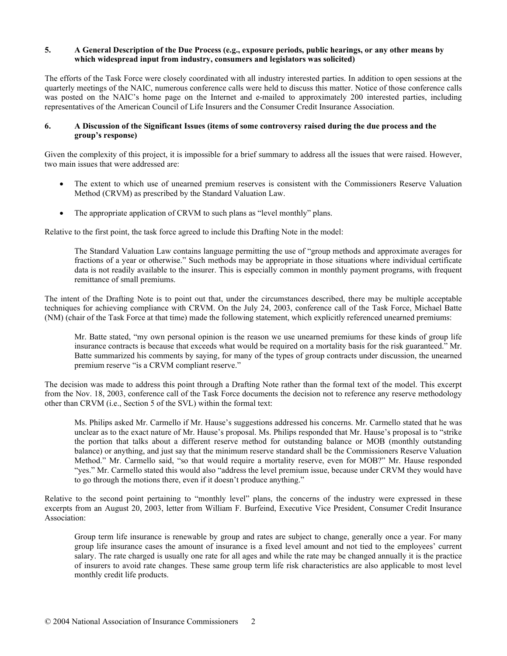## **5. A General Description of the Due Process (e.g., exposure periods, public hearings, or any other means by which widespread input from industry, consumers and legislators was solicited)**

The efforts of the Task Force were closely coordinated with all industry interested parties. In addition to open sessions at the quarterly meetings of the NAIC, numerous conference calls were held to discuss this matter. Notice of those conference calls was posted on the NAIC's home page on the Internet and e-mailed to approximately 200 interested parties, including representatives of the American Council of Life Insurers and the Consumer Credit Insurance Association.

#### **6. A Discussion of the Significant Issues (items of some controversy raised during the due process and the group's response)**

Given the complexity of this project, it is impossible for a brief summary to address all the issues that were raised. However, two main issues that were addressed are:

- The extent to which use of unearned premium reserves is consistent with the Commissioners Reserve Valuation Method (CRVM) as prescribed by the Standard Valuation Law.
- The appropriate application of CRVM to such plans as "level monthly" plans.

Relative to the first point, the task force agreed to include this Drafting Note in the model:

The Standard Valuation Law contains language permitting the use of "group methods and approximate averages for fractions of a year or otherwise." Such methods may be appropriate in those situations where individual certificate data is not readily available to the insurer. This is especially common in monthly payment programs, with frequent remittance of small premiums.

The intent of the Drafting Note is to point out that, under the circumstances described, there may be multiple acceptable techniques for achieving compliance with CRVM. On the July 24, 2003, conference call of the Task Force, Michael Batte (NM) (chair of the Task Force at that time) made the following statement, which explicitly referenced unearned premiums:

Mr. Batte stated, "my own personal opinion is the reason we use unearned premiums for these kinds of group life insurance contracts is because that exceeds what would be required on a mortality basis for the risk guaranteed." Mr. Batte summarized his comments by saying, for many of the types of group contracts under discussion, the unearned premium reserve "is a CRVM compliant reserve."

The decision was made to address this point through a Drafting Note rather than the formal text of the model. This excerpt from the Nov. 18, 2003, conference call of the Task Force documents the decision not to reference any reserve methodology other than CRVM (i.e., Section 5 of the SVL) within the formal text:

Ms. Philips asked Mr. Carmello if Mr. Hause's suggestions addressed his concerns. Mr. Carmello stated that he was unclear as to the exact nature of Mr. Hause's proposal. Ms. Philips responded that Mr. Hause's proposal is to "strike the portion that talks about a different reserve method for outstanding balance or MOB (monthly outstanding balance) or anything, and just say that the minimum reserve standard shall be the Commissioners Reserve Valuation Method." Mr. Carmello said, "so that would require a mortality reserve, even for MOB?" Mr. Hause responded "yes." Mr. Carmello stated this would also "address the level premium issue, because under CRVM they would have to go through the motions there, even if it doesn't produce anything."

Relative to the second point pertaining to "monthly level" plans, the concerns of the industry were expressed in these excerpts from an August 20, 2003, letter from William F. Burfeind, Executive Vice President, Consumer Credit Insurance Association:

Group term life insurance is renewable by group and rates are subject to change, generally once a year. For many group life insurance cases the amount of insurance is a fixed level amount and not tied to the employees' current salary. The rate charged is usually one rate for all ages and while the rate may be changed annually it is the practice of insurers to avoid rate changes. These same group term life risk characteristics are also applicable to most level monthly credit life products.